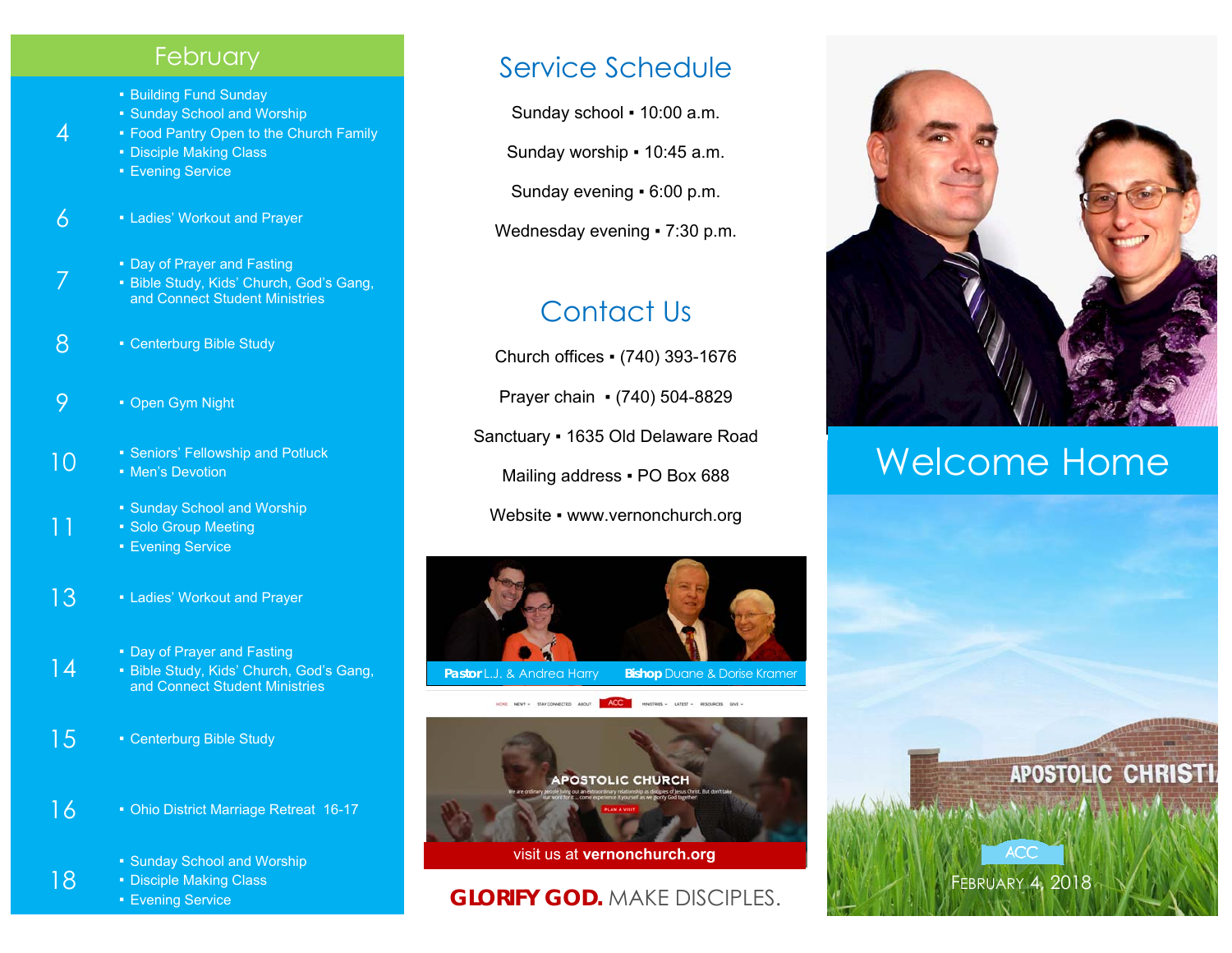#### **February**

- Building Fund Sunday
- Sunday School and Worship
- **Food Pantry Open to the Church Family**
- Disciple Making Class
- Evening Service

4

7

11

18

- $6 1$  Ladies' Workout and Prayer
	- Day of Prayer and Fasting
	- Bible Study, Kids' Church, God's Gang, and Connect Student Ministries
- 8 Centerburg Bible Study
- 9 Open Gym Night
- 10  **Seniors' Fellowship and Potluck** 
	- Men's Devotion
		- **Sunday School and Worship**
		- Solo Group Meeting
		- Evening Service
- 13 Ladies' Workout and Prayer
	- Day of Prayer and Fasting
- 14 ■ Bible Study, Kids' Church, God's Gang, and Connect Student Ministries
- 15 Centerburg Bible Study
- 16 Ohio District Marriage Retreat 16-17
	- Sunday School and Worship
	- Disciple Making Class
	- Evening Service

# Service Schedule

Sunday school ▪ 10:00 a.m.

Sunday worship • 10:45 a.m.

Sunday evening ▪ 6:00 p.m.

Wednesday evening • 7:30 p.m.

# Contact Us

Church offices ▪ (740) 393-1676 Prayer chain ▪ (740) 504-8829 Sanctuary ▪ 1635 Old Delaware Road Mailing address . PO Box 688 Website • www.vernonchurch.org





# **GLORIFY GOD.** MAKE DISCIPLES.



# Welcome Home

FEBRUARY 4, 2018

**ACC**